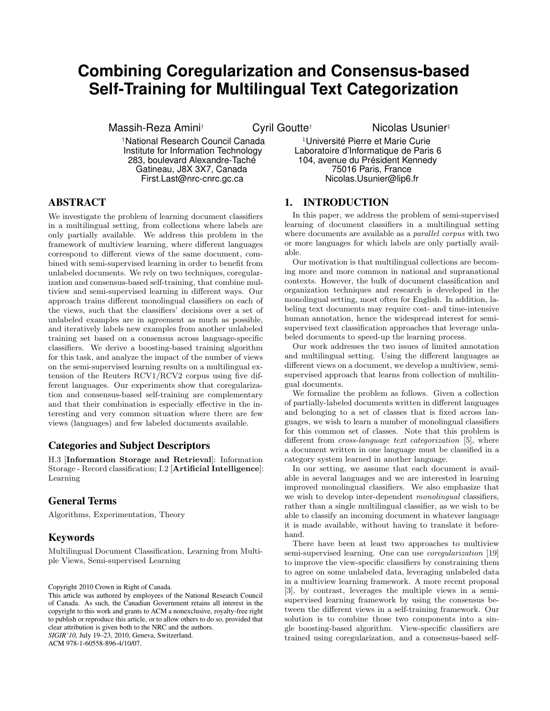# **Combining Coregularization and Consensus-based Self-Training for Multilingual Text Categorization**

Massih-Reza Amini† Cyril Goutte† Nicolas Usunier‡

†National Research Council Canada ‡Université Pierre et Marie Curie First.Last@nrc-cnrc.gc.ca

nstitute for Information Technology and Laboratoire d'Informatique de Paris 6<br>283, boulevard Alexandre-Taché de 104, avenue du Président Kennedy 104, avenue du Président Kennedy<br>75016 Paris, France Gatineau, J8X 3X7, Canada 75016 Paris, France<br>First.Last@nrc-cnrc.gc.ca Nicolas.Usunier@lip6.fr

# ABSTRACT

We investigate the problem of learning document classifiers in a multilingual setting, from collections where labels are only partially available. We address this problem in the framework of multiview learning, where different languages correspond to different views of the same document, combined with semi-supervised learning in order to benefit from unlabeled documents. We rely on two techniques, coregularization and consensus-based self-training, that combine multiview and semi-supervised learning in different ways. Our approach trains different monolingual classifiers on each of the views, such that the classifiers' decisions over a set of unlabeled examples are in agreement as much as possible, and iteratively labels new examples from another unlabeled training set based on a consensus across language-specific classifiers. We derive a boosting-based training algorithm for this task, and analyze the impact of the number of views on the semi-supervised learning results on a multilingual extension of the Reuters RCV1/RCV2 corpus using five different languages. Our experiments show that coregularization and consensus-based self-training are complementary and that their combination is especially effective in the interesting and very common situation where there are few views (languages) and few labeled documents available.

## Categories and Subject Descriptors

H.3 [**Information Storage and Retrieval**]: Information Storage - Record classification; I.2 [**Artificial Intelligence**]: Learning

# General Terms

Algorithms, Experimentation, Theory

# Keywords

Multilingual Document Classification, Learning from Multiple Views, Semi-supervised Learning

#### Copyright 2010 Crown in Right of Canada.

ACM 978-1-60558-896-4/10/07.

## 1. INTRODUCTION

In this paper, we address the problem of semi-supervised learning of document classifiers in a multilingual setting where documents are available as a *parallel corpus* with two or more languages for which labels are only partially available.

Our motivation is that multilingual collections are becoming more and more common in national and supranational contexts. However, the bulk of document classification and organization techniques and research is developed in the monolingual setting, most often for English. In addition, labeling text documents may require cost- and time-intensive human annotation, hence the widespread interest for semisupervised text classification approaches that leverage unlabeled documents to speed-up the learning process.

Our work addresses the two issues of limited annotation and multilingual setting. Using the different languages as different views on a document, we develop a multiview, semisupervised approach that learns from collection of multilingual documents.

We formalize the problem as follows. Given a collection of partially-labeled documents written in different languages and belonging to a set of classes that is fixed across languages, we wish to learn a number of monolingual classifiers for this common set of classes. Note that this problem is different from *cross-language text categorization* [5], where a document written in one language must be classified in a category system learned in another language.

In our setting, we assume that each document is available in several languages and we are interested in learning improved monolingual classifiers. We also emphasize that we wish to develop inter-dependent *monolingual* classifiers, rather than a single multilingual classifier, as we wish to be able to classify an incoming document in whatever language it is made available, without having to translate it beforehand.

There have been at least two approaches to multiview semi-supervised learning. One can use *coregularization* [19] to improve the view-specific classifiers by constraining them to agree on some unlabeled data, leveraging unlabeled data in a multiview learning framework. A more recent proposal [3], by contrast, leverages the multiple views in a semisupervised learning framework by using the consensus between the different views in a self-training framework. Our solution is to combine those two components into a single boosting-based algorithm. View-specific classifiers are trained using coregularization, and a consensus-based self-

This article was authored by employees of the National Research Council of Canada. As such, the Canadian Government retains all interest in the copyright to this work and grants to ACM a nonexclusive, royalty-free right to publish or reproduce this article, or to allow others to do so, provided that clear attribution is given both to the NRC and the authors. *SIGIR'10,* July 19–23, 2010, Geneva, Switzerland.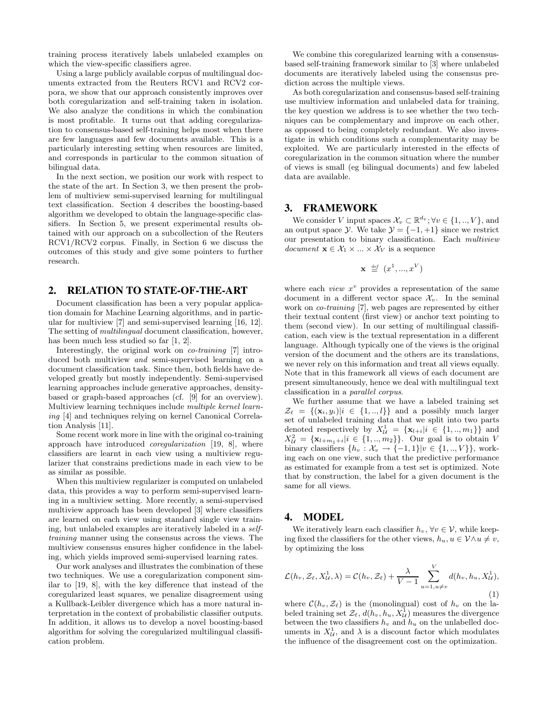training process iteratively labels unlabeled examples on which the view-specific classifiers agree.

Using a large publicly available corpus of multilingual documents extracted from the Reuters RCV1 and RCV2 corpora, we show that our approach consistently improves over both coregularization and self-training taken in isolation. We also analyze the conditions in which the combination is most profitable. It turns out that adding coregularization to consensus-based self-training helps most when there are few languages and few documents available. This is a particularly interesting setting when resources are limited, and corresponds in particular to the common situation of bilingual data.

In the next section, we position our work with respect to the state of the art. In Section 3, we then present the problem of multiview semi-supervised learning for multilingual text classification. Section 4 describes the boosting-based algorithm we developed to obtain the language-specific classifiers. In Section 5, we present experimental results obtained with our approach on a subcollection of the Reuters RCV1/RCV2 corpus. Finally, in Section 6 we discuss the outcomes of this study and give some pointers to further research.

# 2. RELATION TO STATE-OF-THE-ART

Document classification has been a very popular application domain for Machine Learning algorithms, and in particular for multiview [7] and semi-supervised learning [16, 12]. The setting of *multilingual* document classification, however, has been much less studied so far [1, 2].

Interestingly, the original work on *co-training* [7] introduced both multiview *and* semi-supervised learning on a document classification task. Since then, both fields have developed greatly but mostly independently. Semi-supervised learning approaches include generative approaches, densitybased or graph-based approaches (cf. [9] for an overview). Multiview learning techniques include *multiple kernel learning* [4] and techniques relying on kernel Canonical Correlation Analysis [11].

Some recent work more in line with the original co-training approach have introduced *coregularization* [19, 8], where classifiers are learnt in each view using a multiview regularizer that constrains predictions made in each view to be as similar as possible.

When this multiview regularizer is computed on unlabeled data, this provides a way to perform semi-supervised learning in a multiview setting. More recently, a semi-supervised multiview approach has been developed [3] where classifiers are learned on each view using standard single view training, but unlabeled examples are iteratively labeled in a *selftraining* manner using the consensus across the views. The multiview consensus ensures higher confidence in the labeling, which yields improved semi-supervised learning rates.

Our work analyses and illustrates the combination of these two techniques. We use a coregularization component similar to [19, 8], with the key difference that instead of the coregularized least squares, we penalize disagreement using a Kullback-Leibler divergence which has a more natural interpretation in the context of probabilistic classifier outputs. In addition, it allows us to develop a novel boosting-based algorithm for solving the coregularized multilingual classification problem.

We combine this coregularized learning with a consensusbased self-training framework similar to [3] where unlabeled documents are iteratively labeled using the consensus prediction across the multiple views.

As both coregularization and consensus-based self-training use multiview information and unlabeled data for training, the key question we address is to see whether the two techniques can be complementary and improve on each other, as opposed to being completely redundant. We also investigate in which conditions such a complementarity may be exploited. We are particularly interested in the effects of coregularization in the common situation where the number of views is small (eg bilingual documents) and few labeled data are available.

#### 3. FRAMEWORK

We consider V input spaces  $\mathcal{X}_v \subset \mathbb{R}^{d_v}; \forall v \in \{1, ..., V\}$ , and an output space Y. We take  $\mathcal{Y} = \{-1, +1\}$  since we restrict our presentation to binary classification. Each *multiview document*  $\mathbf{x} \in \mathcal{X}_1 \times ... \times \mathcal{X}_V$  is a sequence

$$
\mathbf{x} \stackrel{\text{\tiny def}}{=} (x^1, ..., x^V)
$$

where each *view*  $x^v$  provides a representation of the same document in a different vector space  $\mathcal{X}_v$ . In the seminal work on *co-training* [7], web pages are represented by either their textual content (first view) or anchor text pointing to them (second view). In our setting of multilingual classification, each view is the textual representation in a different language. Although typically one of the views is the original version of the document and the others are its translations, we never rely on this information and treat all views equally. Note that in this framework all views of each document are present simultaneously, hence we deal with multilingual text classification in a *parallel corpus*.

We further assume that we have a labeled training set  $\mathcal{Z}_{\ell} = \{(\mathbf{x}_i, y_i)|i \in \{1, ..., l\}\}\$ and a possibly much larger set of unlabeled training data that we split into two parts denoted respectively by  $X_{\mathcal{U}}^1 = {\mathbf{x}_{l+i}|i \in \{1, ..., m_1\}\}\$  and  $X_{\mathcal{U}}^2 = {\mathbf{x}_{l+m_1+i}|i \in \{1, ..., m_2\}}$ . Our goal is to obtain V binary classifiers  $\{h_v: \mathcal{X}_v \to \{-1,1\}|v \in \{1,..,V\}\}\)$ , working each on one view, such that the predictive performance as estimated for example from a test set is optimized. Note that by construction, the label for a given document is the same for all views.

## 4. MODEL

We iteratively learn each classifier  $h_v$ ,  $\forall v \in \mathcal{V}$ , while keeping fixed the classifiers for the other views,  $h_u, u \in \mathcal{V} \wedge u \neq v$ , by optimizing the loss

$$
\mathcal{L}(h_v, \mathcal{Z}_{\ell}, X_{\mathcal{U}}^1, \lambda) = \mathcal{C}(h_v, \mathcal{Z}_{\ell}) + \frac{\lambda}{V - 1} \sum_{u=1, u \neq v}^{V} d(h_v, h_u, X_{\mathcal{U}}^1),
$$
\n(1)

where  $\mathcal{C}(h_v, \mathcal{Z}_\ell)$  is the (monolingual) cost of  $h_v$  on the labeled training set  $\mathcal{Z}_{\ell}$ ,  $d(h_v, h_u, X_{\mathcal{U}}^1)$  measures the divergence between the two classifiers  $h_v$  and  $h_u$  on the unlabelled documents in  $X^1_{\mathcal{U}}$ , and  $\lambda$  is a discount factor which modulates the influence of the disagreement cost on the optimization.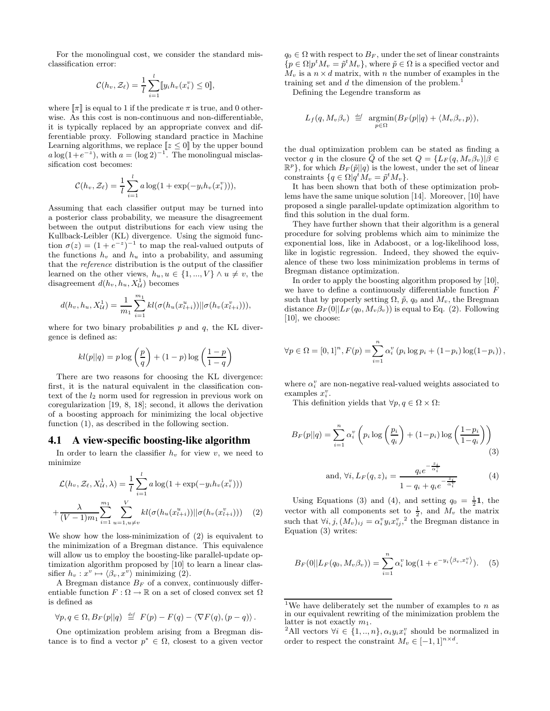For the monolingual cost, we consider the standard misclassification error:

$$
\mathcal{C}(h_v, \mathcal{Z}_\ell) = \frac{1}{l} \sum_{i=1}^l [y_i h_v(x_i^v) \leq 0],
$$

where  $\llbracket \pi \rrbracket$  is equal to 1 if the predicate  $\pi$  is true, and 0 otherwise. As this cost is non-continuous and non-differentiable, it is typically replaced by an appropriate convex and differentiable proxy. Following standard practice in Machine Learning algorithms, we replace  $[z \leq 0]$  by the upper bound  $a \log(1+e^{-z})$ , with  $a = (\log 2)^{-1}$ . The monolingual misclassification cost becomes:

$$
\mathcal{C}(h_v, \mathcal{Z}_\ell) = \frac{1}{l} \sum_{i=1}^l a \log(1 + \exp(-y_i h_v(x_i^v))),
$$

Assuming that each classifier output may be turned into a posterior class probability, we measure the disagreement between the output distributions for each view using the Kullback-Leibler (KL) divergence. Using the sigmoid function  $\sigma(z) = (1 + e^{-z})^{-1}$  to map the real-valued outputs of the functions  $h_v$  and  $h_u$  into a probability, and assuming that the *reference* distribution is the output of the classifier learned on the other views,  $h_u, u \in \{1, ..., V\} \wedge u \neq v$ , the disagreement  $d(h_v, h_u, X^1_{\mathcal{U}})$  becomes

$$
d(h_v, h_u, X_{\mathcal{U}}^1) = \frac{1}{m_1} \sum_{i=1}^{m_1} kl(\sigma(h_u(x_{l+i}^u))||\sigma(h_v(x_{l+i}^v))),
$$

where for two binary probabilities  $p$  and  $q$ , the KL divergence is defined as:

$$
kl(p||q) = p \log \left(\frac{p}{q}\right) + (1-p) \log \left(\frac{1-p}{1-q}\right)
$$

There are two reasons for choosing the KL divergence: first, it is the natural equivalent in the classification context of the  $l_2$  norm used for regression in previous work on coregularization [19, 8, 18]; second, it allows the derivation of a boosting approach for minimizing the local objective function (1), as described in the following section.

#### 4.1 A view-specific boosting-like algorithm

In order to learn the classifier  $h_v$  for view v, we need to minimize

$$
\mathcal{L}(h_v, \mathcal{Z}_{\ell}, X_{\mathcal{U}}^1, \lambda) = \frac{1}{l} \sum_{i=1}^l a \log(1 + \exp(-y_i h_v(x_i^v))) + \frac{\lambda}{(V-1)m_1} \sum_{i=1}^{m_1} \sum_{u=1, u \neq v}^V k l(\sigma(h_u(x_{l+i}^u)) || \sigma(h_v(x_{l+i}^v))) \quad (2)
$$

We show how the loss-minimization of (2) is equivalent to the minimization of a Bregman distance. This equivalence will allow us to employ the boosting-like parallel-update optimization algorithm proposed by [10] to learn a linear classifier  $h_v: x^v \mapsto \langle \beta_v, x^v \rangle$  minimizing (2).

A Bregman distance  $B_F$  of a convex, continuously differentiable function  $F : \Omega \to \mathbb{R}$  on a set of closed convex set  $\Omega$ is defined as

$$
\forall p, q \in \Omega, B_F(p||q) \stackrel{\text{def}}{=} F(p) - F(q) - \langle \nabla F(q), (p-q) \rangle.
$$

One optimization problem arising from a Bregman distance is to find a vector  $p^* \in \Omega$ , closest to a given vector  $q_0 \in \Omega$  with respect to  $B_F$ , under the set of linear constraints  $\{p \in \Omega \mid p^t M_v = \tilde{p}^t M_v\},\$  where  $\tilde{p} \in \Omega$  is a specified vector and  $M_v$  is a  $n \times d$  matrix, with n the number of examples in the training set and  $d$  the dimension of the problem.<sup>1</sup>

Defining the Legendre transform as

$$
L_f(q, M_v \beta_v) \stackrel{\text{def}}{=} \underset{p \in \Omega}{\text{argmin}} (B_F(p||q) + \langle M_v \beta_v, p \rangle),
$$

the dual optimization problem can be stated as finding a vector q in the closure  $\overline{Q}$  of the set  $Q = \{L_F(q, M_v\beta_v)|\beta \in$  $\mathbb{R}^p$ , for which  $B_F(\tilde{p}||q)$  is the lowest, under the set of linear constraints  $\{q \in \Omega | q^t M_v = \tilde{p}^t M_v \}.$ 

It has been shown that both of these optimization problems have the same unique solution [14]. Moreover, [10] have proposed a single parallel-update optimization algorithm to find this solution in the dual form.

They have further shown that their algorithm is a general procedure for solving problems which aim to minimize the exponential loss, like in Adaboost, or a log-likelihood loss, like in logistic regression. Indeed, they showed the equivalence of these two loss minimization problems in terms of Bregman distance optimization.

In order to apply the boosting algorithm proposed by [10], we have to define a continuously differentiable function  ${\cal F}$ such that by properly setting  $\Omega$ ,  $\tilde{p}$ ,  $q_0$  and  $M_v$ , the Bregman distance  $B_F(0||L_F(q_0, M_v\beta_v))$  is equal to Eq. (2). Following [10], we choose:

$$
\forall p \in \Omega = [0, 1]^n, F(p) = \sum_{i=1}^n \alpha_i^v (p_i \log p_i + (1 - p_i) \log (1 - p_i)),
$$

where  $\alpha_i^v$  are non-negative real-valued weights associated to examples  $x_i^v$ .

This definition yields that  $\forall p, q \in \Omega \times \Omega$ :

$$
B_F(p||q) = \sum_{i=1}^n \alpha_i^v \left(p_i \log \left(\frac{p_i}{q_i}\right) + (1-p_i) \log \left(\frac{1-p_i}{1-q_i}\right)\right)
$$
\n(3)

and, 
$$
\forall i, L_F(q, z)_i = \frac{q_i e^{-\frac{z_i}{\alpha_i^0}}}{1 - q_i + q_i e^{-\frac{z_i}{\alpha_i^0}}}
$$
 (4)

Using Equations (3) and (4), and setting  $q_0 = \frac{1}{2}\mathbf{1}$ , the vector with all components set to  $\frac{1}{2}$ , and  $M_v$  the matrix such that  $\forall i, j, (M_v)_{ij} = \alpha_i^v y_i x_{ij}^v$ ,<sup>2</sup> the Bregman distance in Equation (3) writes:

$$
B_F(0||L_F(q_0, M_v \beta_v)) = \sum_{i=1}^n \alpha_i^v \log(1 + e^{-y_i \langle \beta_v, x_i^v \rangle}). \quad (5)
$$

<sup>&</sup>lt;sup>1</sup>We have deliberately set the number of examples to  $n$  as in our equivalent rewriting of the minimization problem the latter is not exactly  $m_1$ .<br><sup>2</sup>All vectors  $\forall i \in \{1,..,n\}, \alpha_i y_i x_i^v$  should be normalized in

order to respect the constraint  $M_v \in [-1,1]^{n \times d}$ .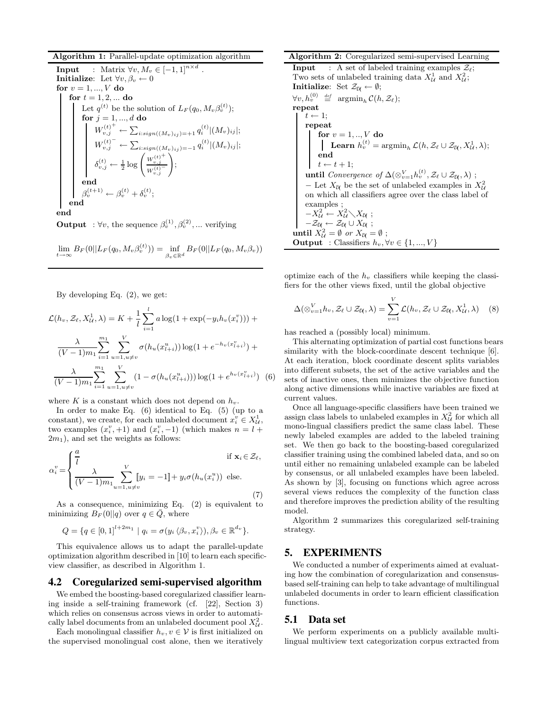**Algorithm 1:** Parallel-update optimization algorithm

**Input** : Matrix  $\forall v, M_v \in [-1, 1]^{n \times d}$ . **Initialize:** Let  $\forall v, \beta_v \leftarrow 0$ **for**  $v = 1, ..., V$  **do for**  $t = 1, 2, ...$  **do**<br> **d** Let  $q^{(t)}$  be the solution of  $L_F(q_0, M_v \beta_v^{(t)})$ ; Let  $q^{(t)}$  be the solution of  $L_F(q_0, M_v \beta_v^{(t)})$ ; **for**  $j = 1, ..., d$  **do**  $W_{v,j}^{(t)^+} \leftarrow \sum_{i:sign((M_v)_{ij})=+1} q_i^{(t)} |(M_v)_{ij}|;$  $W_{v,j}^{(t)} \leftarrow \sum_{i:sign((M_v)_{ij})=-1} q_i^{(t)} |(M_v)_{ij}|;$  $\delta_{v,j}^{(t)} \leftarrow \frac{1}{2} \log \left( \frac{W_{v,j}^{(t)^+}}{W_{v,j}^{(t)^-}} \right);$ **end**  $\beta_v^{(t+1)} \leftarrow \beta_v^{(t)} + \delta_v^{(t)};$ **end end**

**Output** :  $\forall v$ , the sequence  $\beta_v^{(1)}, \beta_v^{(2)}, \dots$  verifying

$$
\lim_{t \to \infty} B_F(0||L_F(q_0, M_v \beta_v^{(t)})) = \inf_{\beta_v \in \mathbb{R}^d} B_F(0||L_F(q_0, M_v \beta_v))
$$

By developing Eq. (2), we get:

$$
\mathcal{L}(h_v, \mathcal{Z}_{\ell}, X_{\mathcal{U}}^1, \lambda) = K + \frac{1}{l} \sum_{i=1}^l a \log(1 + \exp(-y_i h_v(x_i^v))) +
$$

$$
\frac{\lambda}{(V-1)m_1} \sum_{i=1}^{m_1} \sum_{u=1, u \neq v}^{V} \sigma(h_u(x_{l+i}^u)) \log(1 + e^{-h_v(x_{l+i}^v)}) +
$$

$$
\frac{\lambda}{(V-1)m_1} \sum_{i=1}^{m_1} \sum_{u=1, u \neq v}^{V} (1 - \sigma(h_u(x_{l+i}^u))) \log(1 + e^{h_v(x_{l+i}^v)}) \tag{6}
$$

where K is a constant which does not depend on  $h_v$ .

In order to make Eq. (6) identical to Eq. (5) (up to a constant), we create, for each unlabeled document  $x_i^v \in X_{\mathcal{U}}^1$ , two examples  $(x_i^v, +1)$  and  $(x_i^v, -1)$  (which makes  $n = l + 1$  $2m_1$ , and set the weights as follows:

$$
\alpha_i^v = \begin{cases} \frac{a}{l} & \text{if } \mathbf{x}_i \in \mathcal{Z}_\ell, \\ \frac{\lambda}{(V-1)m_1} \sum_{u=1, u \neq v}^{V} \llbracket y_i = -1 \rrbracket + y_i \sigma(h_u(x_i^u)) \text{ else.} \end{cases}
$$
(7)

As a consequence, minimizing Eq. (2) is equivalent to minimizing  $B_F(0||q)$  over  $q \in \overline{Q}$ , where

$$
Q = \{q \in [0,1]^{l+2m_1} \mid q_i = \sigma(y_i \langle \beta_v, x_i^v \rangle), \beta_v \in \mathbb{R}^{d_v} \}.
$$

This equivalence allows us to adapt the parallel-update optimization algorithm described in [10] to learn each specificview classifier, as described in Algorithm 1.

## 4.2 Coregularized semi-supervised algorithm

We embed the boosting-based coregularized classifier learning inside a self-training framework (cf. [22], Section 3) which relies on consensus across views in order to automatically label documents from an unlabeled document pool  $X^2_u$ .

Each monolingual classifier  $h_v, v \in V$  is first initialized on the supervised monolingual cost alone, then we iteratively **Algorithm 2:** Coregularized semi-supervised Learning

```
\nInput : A set of labeled training examples\nZ_{\ell};\nTwo sets of unlabeled training data\nX_{\mathcal{U}}^1 and X_{\mathcal{U}}^2;\nInitialize: Set\nZ_{\mathcal{U}} \leftarrow \emptyset;\n\forall v, h_v^{(0)} \stackrel{\text{def}}{=} \arg\min_h \mathcal{C}(h, \mathcal{Z}_{\ell});\n\nrepeat\n    for\n    v = 1, ..., V do\n    | Learn\n    h_v^{(t)} = \arg\min_h \mathcal{L}(h, \mathcal{Z}_{\ell} \cup \mathcal{Z}_{\mathcal{U}}, X_{\mathcal{U}}^1, \lambda);\nend\n    t \leftarrow t + 1;\nuntil Convergence of\n    
$$
\Delta(\otimes_{v=1}^V h_v^{(t)}, \mathcal{Z}_{\ell} \cup \mathcal{Z}_{\mathcal{U}}, \lambda) ;
$$
\n    - Let\n    X_{\mathcal{U}} \text{ be the set of unlabeled examples in } X_{\mathcal{U}}^2\n    on which all classifiers agree over the class label of\n    examples\n    ;\n    
$$
-X_{\mathcal{U}}^2 \leftarrow X_{\mathcal{U}}^2 \setminus X_{\mathcal{U}} ;\n    -Z_{\mathcal{U}} \leftarrow \mathcal{Z}_{\mathcal{U}} \cup X_{\mathcal{U}} ;\n    until\n    X_{\mathcal{U}}^2 = \emptyset \text{ or } X_{\mathcal{U}} = \emptyset ;\n    Output : Classifiers\n    h_v, \forall v \in \{1, ..., V\}\n
$$

```

optimize each of the  $h_v$  classifiers while keeping the classifiers for the other views fixed, until the global objective

$$
\Delta(\otimes_{v=1}^V h_v, \mathcal{Z}_{\ell} \cup \mathcal{Z}_{\mathcal{U}}, \lambda) = \sum_{v=1}^V \mathcal{L}(h_v, \mathcal{Z}_{\ell} \cup \mathcal{Z}_{\mathcal{U}}, X_{\mathcal{U}}^1, \lambda) \quad (8)
$$

has reached a (possibly local) minimum.

This alternating optimization of partial cost functions bears similarity with the block-coordinate descent technique [6]. At each iteration, block coordinate descent splits variables into different subsets, the set of the active variables and the sets of inactive ones, then minimizes the objective function along active dimensions while inactive variables are fixed at current values.

Once all language-specific classifiers have been trained we assign class labels to unlabeled examples in  $X^2_{\mathcal{U}}$  for which all mono-lingual classifiers predict the same class label. These newly labeled examples are added to the labeled training set. We then go back to the boosting-based coregularized classifier training using the combined labeled data, and so on until either no remaining unlabeled example can be labeled by consensus, or all unlabeled examples have been labeled. As shown by [3], focusing on functions which agree across several views reduces the complexity of the function class and therefore improves the prediction ability of the resulting model.

Algorithm 2 summarizes this coregularized self-training strategy.

# 5. EXPERIMENTS

We conducted a number of experiments aimed at evaluating how the combination of coregularization and consensusbased self-training can help to take advantage of multilingual unlabeled documents in order to learn efficient classification functions.

# 5.1 Data set

We perform experiments on a publicly available multilingual multiview text categorization corpus extracted from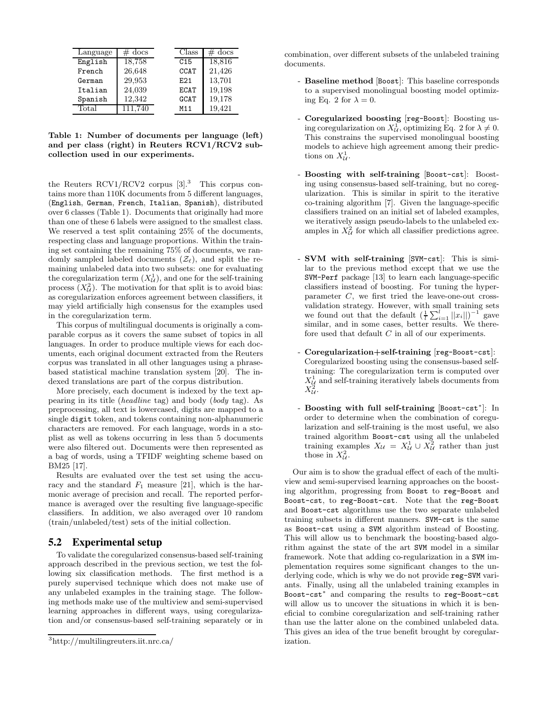| Language | $\#$ docs | Class       | docs<br># |
|----------|-----------|-------------|-----------|
| English  | 18,758    | C15         | 18,816    |
| French   | 26,648    | <b>CCAT</b> | 21,426    |
| German   | 29,953    | F.21        | 13,701    |
| Italian  | 24,039    | <b>ECAT</b> | 19,198    |
| Spanish  | 12,342    | <b>GCAT</b> | 19,178    |
| Total    | 111.740   | M11         | 19.421    |

**Table 1: Number of documents per language (left) and per class (right) in Reuters RCV1/RCV2 subcollection used in our experiments.**

the Reuters  $RCV1/RCV2$  corpus  $[3].^3$  This corpus contains more than 110K documents from 5 different languages, (English, German, French, Italian, Spanish), distributed over 6 classes (Table 1). Documents that originally had more than one of these 6 labels were assigned to the smallest class. We reserved a test split containing 25% of the documents, respecting class and language proportions. Within the training set containing the remaining 75% of documents, we randomly sampled labeled documents  $(\mathcal{Z}_{\ell})$ , and split the remaining unlabeled data into two subsets: one for evaluating the coregularization term  $(X_{\mathcal{U}}^1)$ , and one for the self-training process  $(X_{\mathcal{U}}^2)$ . The motivation for that split is to avoid bias: as coregularization enforces agreement between classifiers, it may yield artificially high consensus for the examples used in the coregularization term.

This corpus of multilingual documents is originally a comparable corpus as it covers the same subset of topics in all languages. In order to produce multiple views for each documents, each original document extracted from the Reuters corpus was translated in all other languages using a phrasebased statistical machine translation system [20]. The indexed translations are part of the corpus distribution.

More precisely, each document is indexed by the text appearing in its title (*headline* tag) and body (*body* tag). As preprocessing, all text is lowercased, digits are mapped to a single digit token, and tokens containing non-alphanumeric characters are removed. For each language, words in a stoplist as well as tokens occurring in less than 5 documents were also filtered out. Documents were then represented as a bag of words, using a TFIDF weighting scheme based on BM25 [17].

Results are evaluated over the test set using the accuracy and the standard  $F_1$  measure [21], which is the harmonic average of precision and recall. The reported performance is averaged over the resulting five language-specific classifiers. In addition, we also averaged over 10 random (train/unlabeled/test) sets of the initial collection.

# 5.2 Experimental setup

To validate the coregularized consensus-based self-training approach described in the previous section, we test the following six classification methods. The first method is a purely supervised technique which does not make use of any unlabeled examples in the training stage. The following methods make use of the multiview and semi-supervised learning approaches in different ways, using coregularization and/or consensus-based self-training separately or in

combination, over different subsets of the unlabeled training documents.

- **Baseline method** [Boost]: This baseline corresponds to a supervised monolingual boosting model optimizing Eq. 2 for  $\lambda = 0$ .
- **Coregularized boosting** [reg-Boost]: Boosting using coregularization on  $X_{\mathcal{U}}^1$ , optimizing Eq. 2 for  $\lambda \neq 0$ . This constrains the supervised monolingual boosting models to achieve high agreement among their predictions on  $X^1_{\mathcal{U}}$ .
- **Boosting with self-training** [Boost-cst]: Boosting using consensus-based self-training, but no coregularization. This is similar in spirit to the iterative co-training algorithm [7]. Given the language-specific classifiers trained on an initial set of labeled examples, we iteratively assign pseudo-labels to the unlabeled examples in  $X^2_{\mathcal{U}}$  for which all classifier predictions agree.
- **SVM with self-training** [SVM-cst]: This is similar to the previous method except that we use the SVM-Perf package [13] to learn each language-specific classifiers instead of boosting. For tuning the hyperparameter C, we first tried the leave-one-out crossvalidation strategy. However, with small training sets we found out that the default  $\left(\frac{1}{l}\sum_{i=1}^{l}||x_i||\right)^{-1}$  gave similar, and in some cases, better results. We therefore used that default  $C$  in all of our experiments.
- **Coregularization+self-training** [reg-Boost-cst]: Coregularized boosting using the consensus-based selftraining: The coregularization term is computed over  $X_d^1$  and self-training iteratively labels documents from  $X_{\mathcal{U}}^{\tilde{2}}$ .
- **Boosting with full self-training** [Boost-cst∗]: In order to determine when the combination of coregularization and self-training is the most useful, we also trained algorithm Boost-cst using all the unlabeled training examples  $X_{\mathcal{U}} = X_{\mathcal{U}}^1 \cup X_{\mathcal{U}}^2$  rather than just those in  $X_{\mathcal{U}}^2$ .

Our aim is to show the gradual effect of each of the multiview and semi-supervised learning approaches on the boosting algorithm, progressing from Boost to reg-Boost and Boost-cst, to reg-Boost-cst. Note that the reg-Boost and Boost-cst algorithms use the two separate unlabeled training subsets in different manners. SVM-cst is the same as Boost-cst using a SVM algorithm instead of Boosting. This will allow us to benchmark the boosting-based algorithm against the state of the art SVM model in a similar framework. Note that adding co-regularization in a SVM implementation requires some significant changes to the underlying code, which is why we do not provide reg-SVM variants. Finally, using all the unlabeled training examples in Boost-cst<sup>∗</sup> and comparing the results to reg-Boost-cst will allow us to uncover the situations in which it is beneficial to combine coregularization and self-training rather than use the latter alone on the combined unlabeled data. This gives an idea of the true benefit brought by coregularization.

<sup>3</sup>http://multilingreuters.iit.nrc.ca/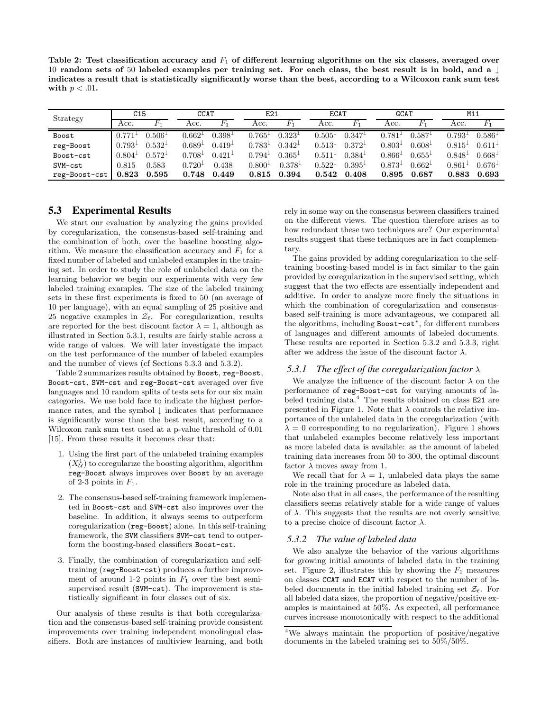Table 2: Test classification accuracy and  $F_1$  of different learning algorithms on the six classes, averaged over 10 **random sets of** 50 **labeled examples per training set. For each class, the best result is in bold, and a** ↓ **indicates a result that is statistically significantly worse than the best, according to a Wilcoxon rank sum test** with  $p < .01$ .

| Strategy           | C15                |                    |                    | CCAT                 |             | E21                |                    | <b>ECAT</b>        |             | GCAT                 |             | M11                |  |
|--------------------|--------------------|--------------------|--------------------|----------------------|-------------|--------------------|--------------------|--------------------|-------------|----------------------|-------------|--------------------|--|
|                    | Acc.               |                    | Acc.               |                      | Acc.        |                    | Acc.               |                    | Acc.        |                      | Acc.        |                    |  |
| Boost              | $0.771+$           | .5064              | $0.662^{+}$        | $0.398^{\downarrow}$ | $0.765^+$   | 0.323 <sup>1</sup> | 0.505 <sup>1</sup> | 0.347 <sup>1</sup> | $0.781^{+}$ | $0.587^{\downarrow}$ | $0.793^{+}$ | 0.586 <sup>1</sup> |  |
| reg-Boost          | $0.793^{+}$        | 0.532 <sup>1</sup> | $0.689^{+}$        | $0.419^{+}$          | $0.783^{+}$ | $0.342^{+}$        | $0.513^{+}$        | $0.372^{+}$        | $0.803^{+}$ | $0.608^+$            | $0.815^{+}$ | $0.611*$           |  |
| Boost-cst          | 0.804 <sup>1</sup> | $0.572^{+}$        | 0.708 <sup>1</sup> | $0.421^{+}$          | $0.794^{+}$ | 0.365 <sup>1</sup> | $0.511^{+}$        | 0.384 <sup>†</sup> | $0.866^+$   | $0.655^+$            | $0.848^{+}$ | $0.668^\downarrow$ |  |
| $SWM - \text{cst}$ | 0.815              | 0.583              | $0.720^{+}$        | 0.438                | $0.800^{+}$ | $0.378^{+}$        | $0.522^{+}$        | $0.395^\texttt{+}$ | $0.873^{+}$ | $0.662^{+}$          | $0.861^{+}$ | 0.676 <sup>1</sup> |  |
| reg-Boost-cst      | 0.823              | 0.595              | 0.748              | 0.449                | 0.815       | 0.394              | 0.542              | 0.408              | 0.895       | 0.687                | 0.883       | 0.693              |  |

## 5.3 Experimental Results

We start our evaluation by analyzing the gains provided by coregularization, the consensus-based self-training and the combination of both, over the baseline boosting algorithm. We measure the classification accuracy and  $F_1$  for a fixed number of labeled and unlabeled examples in the training set. In order to study the role of unlabeled data on the learning behavior we begin our experiments with very few labeled training examples. The size of the labeled training sets in these first experiments is fixed to 50 (an average of 10 per language), with an equal sampling of 25 positive and 25 negative examples in  $\mathcal{Z}_{\ell}$ . For coregularization, results are reported for the best discount factor  $\lambda = 1$ , although as illustrated in Section 5.3.1, results are fairly stable across a wide range of values. We will later investigate the impact on the test performance of the number of labeled examples and the number of views (cf Sections 5.3.3 and 5.3.2).

Table 2 summarizes results obtained by Boost, reg-Boost, Boost-cst, SVM-cst and reg-Boost-cst averaged over five languages and 10 random splits of tests sets for our six main categories. We use bold face to indicate the highest performance rates, and the symbol ↓ indicates that performance is significantly worse than the best result, according to a Wilcoxon rank sum test used at a p-value threshold of 0.01 [15]. From these results it becomes clear that:

- 1. Using the first part of the unlabeled training examples  $(X_{\mathcal{U}}^1)$  to coregularize the boosting algorithm, algorithm reg-Boost always improves over Boost by an average of 2-3 points in  $F_1$ .
- 2. The consensus-based self-training framework implemented in Boost-cst and SVM-cst also improves over the baseline. In addition, it always seems to outperform coregularization (reg-Boost) alone. In this self-training framework, the SVM classifiers SVM-cst tend to outperform the boosting-based classifiers Boost-cst.
- 3. Finally, the combination of coregularization and selftraining (reg-Boost-cst) produces a further improvement of around 1-2 points in  $F_1$  over the best semisupervised result (SVM-cst). The improvement is statistically significant in four classes out of six.

Our analysis of these results is that both coregularization and the consensus-based self-training provide consistent improvements over training independent monolingual classifiers. Both are instances of multiview learning, and both rely in some way on the consensus between classifiers trained on the different views. The question therefore arises as to how redundant these two techniques are? Our experimental results suggest that these techniques are in fact complementary.

The gains provided by adding coregularization to the selftraining boosting-based model is in fact similar to the gain provided by coregularization in the supervised setting, which suggest that the two effects are essentially independent and additive. In order to analyze more finely the situations in which the combination of coregularization and consensusbased self-training is more advantageous, we compared all the algorithms, including Boost-cst<sup>∗</sup>, for different numbers of languages and different amounts of labeled documents. These results are reported in Section 5.3.2 and 5.3.3, right after we address the issue of the discount factor  $\lambda$ .

#### *5.3.1 The effect of the coregularization factor* λ

We analyze the influence of the discount factor  $\lambda$  on the performance of reg-Boost-cst for varying amounts of labeled training data.<sup>4</sup> The results obtained on class E21 are presented in Figure 1. Note that  $\lambda$  controls the relative importance of the unlabeled data in the coregularization (with  $\lambda = 0$  corresponding to no regularization). Figure 1 shows that unlabeled examples become relatively less important as more labeled data is available: as the amount of labeled training data increases from 50 to 300, the optimal discount factor  $\lambda$  moves away from 1.

We recall that for  $\lambda = 1$ , unlabeled data plays the same role in the training procedure as labeled data.

Note also that in all cases, the performance of the resulting classifiers seems relatively stable for a wide range of values of  $\lambda$ . This suggests that the results are not overly sensitive to a precise choice of discount factor  $\lambda$ .

#### *5.3.2 The value of labeled data*

We also analyze the behavior of the various algorithms for growing initial amounts of labeled data in the training set. Figure 2, illustrates this by showing the  $F_1$  measures on classes CCAT and ECAT with respect to the number of labeled documents in the initial labeled training set  $\mathcal{Z}_{\ell}$ . For all labeled data sizes, the proportion of negative/positive examples is maintained at 50%. As expected, all performance curves increase monotonically with respect to the additional

<sup>4</sup>We always maintain the proportion of positive/negative documents in the labeled training set to 50%/50%.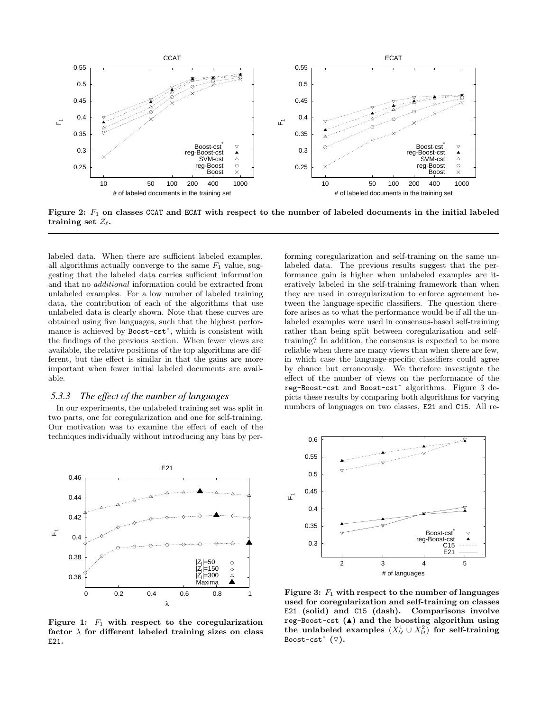

**Figure 2:** F<sup>1</sup> **on classes** CCAT **and** ECAT **with respect to the number of labeled documents in the initial labeled**  $\text{training set } \mathcal{Z}_{\ell}.$ 

labeled data. When there are sufficient labeled examples, all algorithms actually converge to the same  $F_1$  value, suggesting that the labeled data carries sufficient information and that no *additional* information could be extracted from unlabeled examples. For a low number of labeled training data, the contribution of each of the algorithms that use unlabeled data is clearly shown. Note that these curves are obtained using five languages, such that the highest performance is achieved by Boost-cst<sup>∗</sup>, which is consistent with the findings of the previous section. When fewer views are available, the relative positions of the top algorithms are different, but the effect is similar in that the gains are more important when fewer initial labeled documents are available.

## *5.3.3 The effect of the number of languages*

In our experiments, the unlabeled training set was split in two parts, one for coregularization and one for self-training. Our motivation was to examine the effect of each of the techniques individually without introducing any bias by performing coregularization and self-training on the same unlabeled data. The previous results suggest that the performance gain is higher when unlabeled examples are iteratively labeled in the self-training framework than when they are used in coregularization to enforce agreement between the language-specific classifiers. The question therefore arises as to what the performance would be if all the unlabeled examples were used in consensus-based self-training rather than being split between coregularization and selftraining? In addition, the consensus is expected to be more reliable when there are many views than when there are few, in which case the language-specific classifiers could agree by chance but erroneously. We therefore investigate the effect of the number of views on the performance of the reg-Boost-cst and Boost-cst<sup>∗</sup> algorithms. Figure 3 depicts these results by comparing both algorithms for varying numbers of languages on two classes, E21 and C15. All re-



**Figure 1:** F<sup>1</sup> **with respect to the coregularization factor** λ **for different labeled training sizes on class** E21**.**



**Figure 3:** F<sup>1</sup> **with respect to the number of languages used for coregularization and self-training on classes** E21 **(solid) and** C15 **(dash). Comparisons involve** reg-Boost-cst **(**-**) and the boosting algorithm using** the unlabeled examples  $(X_{\mathcal{U}}^1 \cup X_{\mathcal{U}}^2)$  for self-training Boost-cst<sup>∗</sup> **().**